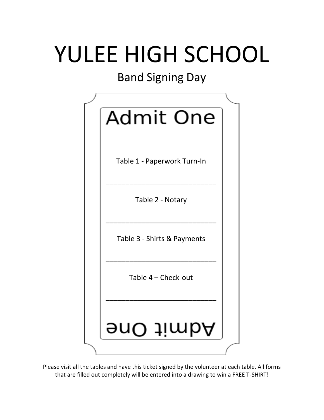# YULEE HIGH SCHOOL

## Band Signing Day



Please visit all the tables and have this ticket signed by the volunteer at each table. All forms that are filled out completely will be entered into a drawing to win a FREE T-SHIRT!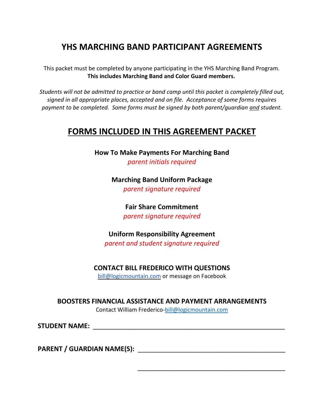## **YHS MARCHING BAND PARTICIPANT AGREEMENTS**

This packet must be completed by anyone participating in the YHS Marching Band Program. **This includes Marching Band and Color Guard members.**

*Students will not be admitted to practice or band camp until this packet is completely filled out, signed in all appropriate places, accepted and on file. Acceptance of some forms requires payment to be completed. Some forms must be signed by both parent/guardian and student.*

## **FORMS INCLUDED IN THIS AGREEMENT PACKET**

**How To Make Payments For Marching Band** *parent initials required*

> **Marching Band Uniform Package** *parent signature required*

> > **Fair Share Commitment** *parent signature required*

**Uniform Responsibility Agreement** *parent and student signature required*

**CONTACT BILL FREDERICO WITH QUESTIONS**

bill@logicmountain.com or message on Facebook

**BOOSTERS FINANCIAL ASSISTANCE AND PAYMENT ARRANGEMENTS**

Contact William Frederico[-bill@logicmountain.com](mailto:bill@logicmountain.com)

 $\overline{\phantom{a}}$  , we can consider the contract of the constant of the contract of the contract of the contract of the contract of the contract of the contract of the contract of the contract of the contract of the contract of

**STUDENT NAME:** \_\_\_\_\_\_\_\_\_\_\_\_\_\_\_\_\_\_\_\_\_\_\_\_\_\_\_\_\_\_\_\_\_\_\_\_\_\_\_\_\_\_\_\_\_\_\_\_\_\_\_\_

**PARENT / GUARDIAN NAME(S):** \_\_\_\_\_\_\_\_\_\_\_\_\_\_\_\_\_\_\_\_\_\_\_\_\_\_\_\_\_\_\_\_\_\_\_\_\_\_\_\_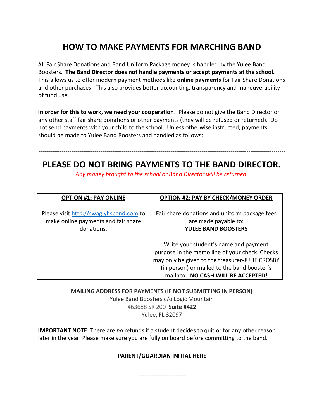## **HOW TO MAKE PAYMENTS FOR MARCHING BAND**

All Fair Share Donations and Band Uniform Package money is handled by the Yulee Band Boosters. **The Band Director does not handle payments or accept payments at the school.** This allows us to offer modern payment methods like **online payments** for Fair Share Donations and other purchases. This also provides better accounting, transparency and maneuverability of fund use.

**In order for this to work, we need your cooperation**. Please do not give the Band Director or any other staff fair share donations or other payments (they will be refused or returned). Do not send payments with your child to the school. Unless otherwise instructed, payments should be made to Yulee Band Boosters and handled as follows:

### **------------------------------------------------------------------------------------------------------------------------------- PLEASE DO NOT BRING PAYMENTS TO THE BAND DIRECTOR.**

*Any money brought to the school or Band Director will be returned.* 

| <b>OPTION #1: PAY ONLINE</b>                                                                 | <b>OPTION #2: PAY BY CHECK/MONEY ORDER</b>                                                                                                                                                                                      |
|----------------------------------------------------------------------------------------------|---------------------------------------------------------------------------------------------------------------------------------------------------------------------------------------------------------------------------------|
| Please visit http://swag.yhsband.com to<br>make online payments and fair share<br>donations. | Fair share donations and uniform package fees<br>are made payable to:<br><b>YULEE BAND BOOSTERS</b>                                                                                                                             |
|                                                                                              | Write your student's name and payment<br>purpose in the memo line of your check. Checks<br>may only be given to the treasurer-JULIE CROSBY<br>(in person) or mailed to the band booster's<br>mailbox. NO CASH WILL BE ACCEPTED! |

**MAILING ADDRESS FOR PAYMENTS (IF NOT SUBMITTING IN PERSON)** Yulee Band Boosters c/o Logic Mountain 463688 SR 200 **Suite #422** Yulee, FL 32097

**IMPORTANT NOTE:** There are *no* refunds if a student decides to quit or for any other reason later in the year. Please make sure you are fully on board before committing to the band.

#### **PARENT/GUARDIAN INITIAL HERE**

\_\_\_\_\_\_\_\_\_\_\_\_\_\_\_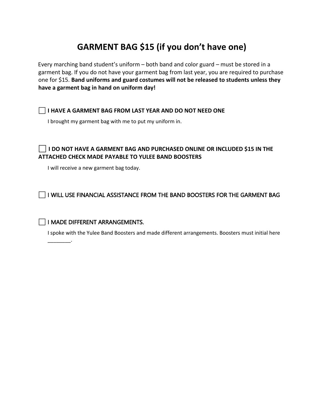## **GARMENT BAG \$15 (if you don't have one)**

Every marching band student's uniform – both band and color guard – must be stored in a garment bag. If you do not have your garment bag from last year, you are required to purchase one for \$15. **Band uniforms and guard costumes will not be released to students unless they have a garment bag in hand on uniform day!**

#### ⬜ **I HAVE A GARMENT BAG FROM LAST YEAR AND DO NOT NEED ONE**

I brought my garment bag with me to put my uniform in.

#### ⬜ **I DO NOT HAVE A GARMENT BAG AND PURCHASED ONLINE OR INCLUDED \$15 IN THE ATTACHED CHECK MADE PAYABLE TO YULEE BAND BOOSTERS**

I will receive a new garment bag today.

 $\Box$  I WILL USE FINANCIAL ASSISTANCE FROM THE BAND BOOSTERS FOR THE GARMENT BAG

#### ⬜ I MADE DIFFERENT ARRANGEMENTS.

\_\_\_\_\_\_\_\_.

I spoke with the Yulee Band Boosters and made different arrangements. Boosters must initial here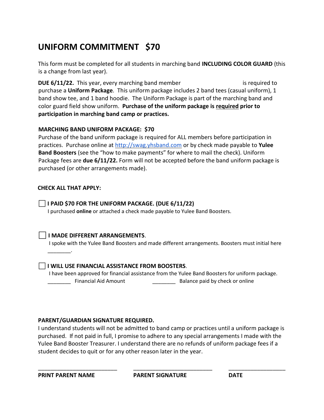## **UNIFORM COMMITMENT \$70**

This form must be completed for all students in marching band **INCLUDING COLOR GUARD** (this is a change from last year).

**DUE 6/11/22.** This year, every marching band member (excluding color guardinary) is required to purchase a **Uniform Package**. This uniform package includes 2 band tees (casual uniform), 1 band show tee, and 1 band hoodie. The Uniform Package is part of the marching band and color guard field show uniform. **Purchase of the uniform package is required prior to participation in marching band camp or practices.**

#### **MARCHING BAND UNIFORM PACKAGE: \$70**

Purchase of the band uniform package is required for ALL members before participation in practices. Purchase online at [http://swag.yhsband.com](http://swag.yhsband.com/) or by check made payable to **Yulee Band Boosters** (see the "how to make payments" for where to mail the check). Uniform Package fees are **due 6/11/22.** Form will not be accepted before the band uniform package is purchased (or other arrangements made).

#### **CHECK ALL THAT APPLY:**

\_\_\_\_\_\_\_\_.

⬜**I PAID \$70 FOR THE UNIFORM PACKAGE. (DUE 6/11/22)** I purchased **online** or attached a check made payable to Yulee Band Boosters.

#### ⬜**I MADE DIFFERENT ARRANGEMENTS**.

I spoke with the Yulee Band Boosters and made different arrangements. Boosters must initial here

#### ⬜**I WILL USE FINANCIAL ASSISTANCE FROM BOOSTERS**.

I have been approved for financial assistance from the Yulee Band Boosters for uniform package. \_\_\_\_\_\_\_\_\_\_ Financial Aid Amount \_\_\_\_\_\_\_\_\_\_\_\_\_\_\_\_\_\_ Balance paid by check or online

#### **PARENT/GUARDIAN SIGNATURE REQUIRED.**

I understand students will not be admitted to band camp or practices until a uniform package is purchased. If not paid in full, I promise to adhere to any special arrangements I made with the Yulee Band Booster Treasurer. I understand there are no refunds of uniform package fees if a student decides to quit or for any other reason later in the year.

\_\_\_\_\_\_\_\_\_\_\_\_\_\_\_\_\_\_\_\_\_\_\_\_\_ \_\_\_\_\_\_\_\_\_\_\_\_\_\_\_\_\_\_\_\_\_\_\_\_\_ \_\_\_\_\_\_\_\_\_\_\_\_\_\_\_\_\_\_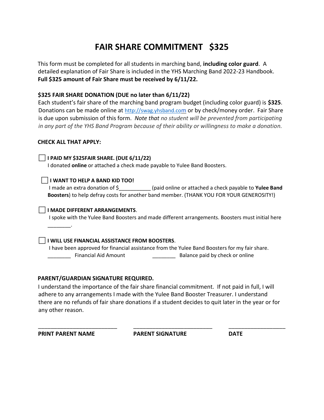## **FAIR SHARE COMMITMENT \$325**

This form must be completed for all students in marching band, **including color guard**. A detailed explanation of Fair Share is included in the YHS Marching Band 2022-23 Handbook. **Full \$325 amount of Fair Share must be received by 6/11/22.**

#### **\$325 FAIR SHARE DONATION (DUE no later than 6/11/22)**

Each student's fair share of the marching band program budget (including color guard) is **\$325**. Donations can be made online at [http://swag.yhsband.co](http://swag.yhsband.com/)m or by check/money order. Fair Share is due upon submission of this form. *Note that no student will be prevented from participating in any part of the YHS Band Program because of their ability or willingness to make a donation.* 

#### **CHECK ALL THAT APPLY:**

#### ⬜**I PAID MY \$325FAIR SHARE. (DUE 6/11/22)**

I donated **online** or attached a check made payable to Yulee Band Boosters.

#### ⬜**I WANT TO HELP A BAND KID TOO!**

I made an extra donation of \$\_\_\_\_\_\_\_\_\_\_\_ (paid online or attached a check payable to **Yulee Band Boosters**) to help defray costs for another band member. (THANK YOU FOR YOUR GENEROSITY!)

#### ⬜**I MADE DIFFERENT ARRANGEMENTS**.

I spoke with the Yulee Band Boosters and made different arrangements. Boosters must initial here

\_\_\_\_\_\_\_\_.

#### ⬜**I WILL USE FINANCIAL ASSISTANCE FROM BOOSTERS**.

I have been approved for financial assistance from the Yulee Band Boosters for my fair share. \_\_\_\_\_\_\_\_ Financial Aid Amount \_\_\_\_\_\_\_\_ Balance paid by check or online

#### **PARENT/GUARDIAN SIGNATURE REQUIRED.**

I understand the importance of the fair share financial commitment. If not paid in full, I will adhere to any arrangements I made with the Yulee Band Booster Treasurer. I understand there are no refunds of fair share donations if a student decides to quit later in the year or for any other reason.

**PRINT PARENT NAME PARENT SIGNATURE DATE** 

\_\_\_\_\_\_\_\_\_\_\_\_\_\_\_\_\_\_\_\_\_\_\_\_\_ \_\_\_\_\_\_\_\_\_\_\_\_\_\_\_\_\_\_\_\_\_\_\_\_\_ \_\_\_\_\_\_\_\_\_\_\_\_\_\_\_\_\_\_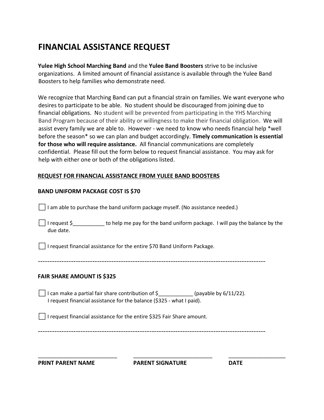## **FINANCIAL ASSISTANCE REQUEST**

**Yulee High School Marching Band** and the **Yulee Band Boosters** strive to be inclusive organizations. A limited amount of financial assistance is available through the Yulee Band Boosters to help families who demonstrate need.

We recognize that Marching Band can put a financial strain on families. We want everyone who desires to participate to be able. No student should be discouraged from joining due to financial obligations. No student will be prevented from participating in the YHS Marching Band Program because of their ability or willingness to make their financial obligation.We will assist every family we are able to. However - we need to know who needs financial help \*well before the season\* so we can plan and budget accordingly. **Timely communication is essential for those who will require assistance.** All financial communications are completely confidential. Please fill out the form below to request financial assistance. You may ask for help with either one or both of the obligations listed.

#### **REQUEST FOR FINANCIAL ASSISTANCE FROM YULEE BAND BOOSTERS**

#### **BAND UNIFORM PACKAGE COST IS \$70**

 $\Box$  I am able to purchase the band uniform package myself. (No assistance needed.)

 $\Box$ I request \$\_\_\_\_\_\_\_\_\_\_\_\_ to help me pay for the band uniform package. I will pay the balance by the due date.

⬜I request financial assistance for the entire \$70 Band Uniform Package.

------------------------------------------------------------------------------------------------

#### **FAIR SHARE AMOUNT IS \$325**

 $\Box$  I can make a partial fair share contribution of \$\_\_\_\_\_\_\_\_\_\_\_\_\_(payable by 6/11/22). I request financial assistance for the balance (\$325 - what I paid).

 $\Box$  I request financial assistance for the entire \$325 Fair Share amount.

------------------------------------------------------------------------------------------------

**PRINT PARENT NAME PARENT SIGNATURE DATE** 

\_\_\_\_\_\_\_\_\_\_\_\_\_\_\_\_\_\_\_\_\_\_\_\_\_ \_\_\_\_\_\_\_\_\_\_\_\_\_\_\_\_\_\_\_\_\_\_\_\_\_ \_\_\_\_\_\_\_\_\_\_\_\_\_\_\_\_\_\_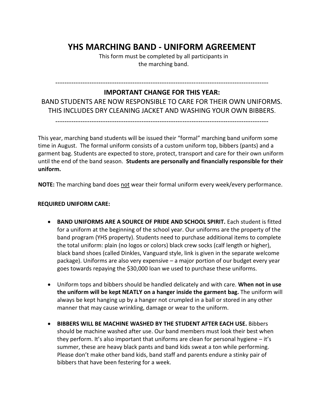## **YHS MARCHING BAND - UNIFORM AGREEMENT**

This form must be completed by all participants in the marching band.

#### ----------------------------------------------------------------------------------------------

#### **IMPORTANT CHANGE FOR THIS YEAR:**

BAND STUDENTS ARE NOW RESPONSIBLE TO CARE FOR THEIR OWN UNIFORMS. THIS INCLUDES DRY CLEANING JACKET AND WASHING YOUR OWN BIBBERS.

----------------------------------------------------------------------------------------------

This year, marching band students will be issued their "formal" marching band uniform some time in August. The formal uniform consists of a custom uniform top, bibbers (pants) and a garment bag. Students are expected to store, protect, transport and care for their own uniform until the end of the band season. **Students are personally and financially responsible for their uniform.**

**NOTE:** The marching band does not wear their formal uniform every week/every performance.

#### **REQUIRED UNIFORM CARE:**

- **BAND UNIFORMS ARE A SOURCE OF PRIDE AND SCHOOL SPIRIT.** Each student is fitted for a uniform at the beginning of the school year. Our uniforms are the property of the band program (YHS property). Students need to purchase additional items to complete the total uniform: plain (no logos or colors) black crew socks (calf length or higher), black band shoes (called Dinkles, Vanguard style, link is given in the separate welcome package). Uniforms are also very expensive – a major portion of our budget every year goes towards repaying the \$30,000 loan we used to purchase these uniforms.
- Uniform tops and bibbers should be handled delicately and with care. **When not in use the uniform will be kept NEATLY on a hanger inside the garment bag.** The uniform will always be kept hanging up by a hanger not crumpled in a ball or stored in any other manner that may cause wrinkling, damage or wear to the uniform.
- **BIBBERS WILL BE MACHINE WASHED BY THE STUDENT AFTER EACH USE.** Bibbers should be machine washed after use. Our band members must look their best when they perform. It's also important that uniforms are clean for personal hygiene – it's summer, these are heavy black pants and band kids sweat a ton while performing. Please don't make other band kids, band staff and parents endure a stinky pair of bibbers that have been festering for a week.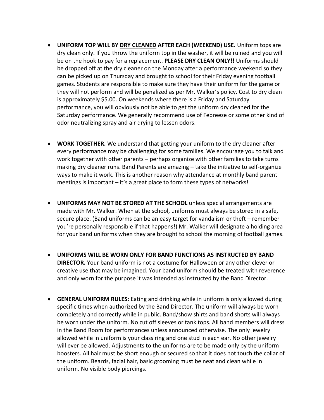- **UNIFORM TOP WILL BY DRY CLEANED AFTER EACH (WEEKEND) USE.** Uniform tops are dry clean only. If you throw the uniform top in the washer, it will be ruined and you will be on the hook to pay for a replacement. **PLEASE DRY CLEAN ONLY!!** Uniforms should be dropped off at the dry cleaner on the Monday after a performance weekend so they can be picked up on Thursday and brought to school for their Friday evening football games. Students are responsible to make sure they have their uniform for the game or they will not perform and will be penalized as per Mr. Walker's policy. Cost to dry clean is approximately \$5.00. On weekends where there is a Friday and Saturday performance, you will obviously not be able to get the uniform dry cleaned for the Saturday performance. We generally recommend use of Febreeze or some other kind of odor neutralizing spray and air drying to lessen odors.
- **WORK TOGETHER.** We understand that getting your uniform to the dry cleaner after every performance may be challenging for some families. We encourage you to talk and work together with other parents – perhaps organize with other families to take turns making dry cleaner runs. Band Parents are amazing – take the initiative to self-organize ways to make it work. This is another reason why attendance at monthly band parent meetings is important – it's a great place to form these types of networks!
- **UNIFORMS MAY NOT BE STORED AT THE SCHOOL** unless special arrangements are made with Mr. Walker. When at the school, uniforms must always be stored in a safe, secure place. (Band uniforms can be an easy target for vandalism or theft – remember you're personally responsible if that happens!) Mr. Walker will designate a holding area for your band uniforms when they are brought to school the morning of football games.
- **UNIFORMS WILL BE WORN ONLY FOR BAND FUNCTIONS AS INSTRUCTED BY BAND DIRECTOR.** Your band uniform is not a costume for Halloween or any other clever or creative use that may be imagined. Your band uniform should be treated with reverence and only worn for the purpose it was intended as instructed by the Band Director.
- **GENERAL UNIFORM RULES:** Eating and drinking while in uniform is only allowed during specific times when authorized by the Band Director. The uniform will always be worn completely and correctly while in public. Band/show shirts and band shorts will always be worn under the uniform. No cut off sleeves or tank tops. All band members will dress in the Band Room for performances unless announced otherwise. The only jewelry allowed while in uniform is your class ring and one stud in each ear. No other jewelry will ever be allowed. Adjustments to the uniforms are to be made only by the uniform boosters. All hair must be short enough or secured so that it does not touch the collar of the uniform. Beards, facial hair, basic grooming must be neat and clean while in uniform. No visible body piercings.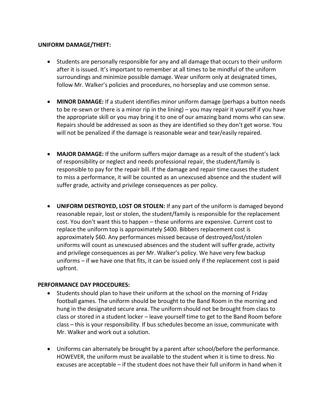#### **UNIFORM DAMAGE/THEFT:**

- Students are personally responsible for any and all damage that occurs to their uniform after it is issued. It's important to remember at all times to be mindful of the uniform surroundings and minimize possible damage. Wear uniform only at designated times, follow Mr. Walker's policies and procedures, no horseplay and use common sense.
- **MINOR DAMAGE:** If a student identifies minor uniform damage (perhaps a button needs to be re-sewn or there is a minor rip in the lining) – you may repair it yourself if you have the appropriate skill or you may bring it to one of our amazing band moms who can sew. Repairs should be addressed as soon as they are identified so they don't get worse. You will not be penalized if the damage is reasonable wear and tear/easily repaired.
- **MAJOR DAMAGE:** If the uniform suffers major damage as a result of the student's lack of responsibility or neglect and needs professional repair, the student/family is responsible to pay for the repair bill. If the damage and repair time causes the student to miss a performance, it will be counted as an unexcused absence and the student will suffer grade, activity and privilege consequences as per policy.
- **UNIFORM DESTROYED, LOST OR STOLEN:** If any part of the uniform is damaged beyond reasonable repair, lost or stolen, the student/family is responsible for the replacement cost. You don't want this to happen – these uniforms are expensive. Current cost to replace the uniform top is approximately \$400. Bibbers replacement cost is approximately \$60. Any performances missed because of destroyed/lost/stolen uniforms will count as unexcused absences and the student will suffer grade, activity and privilege consequences as per Mr. Walker's policy. We have very few backup uniforms – if we have one that fits, it can be issued only if the replacement cost is paid upfront.

#### **PERFORMANCE DAY PROCEDURES:**

- Students should plan to have their uniform at the school on the morning of Friday football games. The uniform should be brought to the Band Room in the morning and hung in the designated secure area. The uniform should not be brought from class to class or stored in a student locker – leave yourself time to get to the Band Room before class – this is your responsibility. If bus schedules become an issue, communicate with Mr. Walker and work out a solution.
- Uniforms can alternately be brought by a parent after school/before the performance. HOWEVER, the uniform must be available to the student when it is time to dress. No excuses are acceptable – if the student does not have their full uniform in hand when it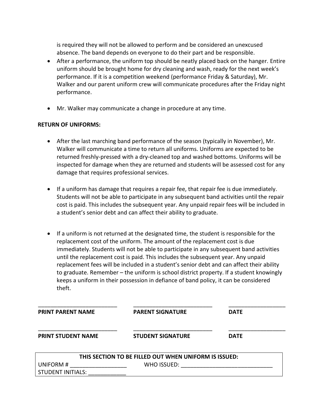is required they will not be allowed to perform and be considered an unexcused absence. The band depends on everyone to do their part and be responsible.

- After a performance, the uniform top should be neatly placed back on the hanger. Entire uniform should be brought home for dry cleaning and wash, ready for the next week's performance. If it is a competition weekend (performance Friday & Saturday), Mr. Walker and our parent uniform crew will communicate procedures after the Friday night performance.
- Mr. Walker may communicate a change in procedure at any time.

#### **RETURN OF UNIFORMS:**

- After the last marching band performance of the season (typically in November), Mr. Walker will communicate a time to return all uniforms. Uniforms are expected to be returned freshly-pressed with a dry-cleaned top and washed bottoms. Uniforms will be inspected for damage when they are returned and students will be assessed cost for any damage that requires professional services.
- If a uniform has damage that requires a repair fee, that repair fee is due immediately. Students will not be able to participate in any subsequent band activities until the repair cost is paid. This includes the subsequent year. Any unpaid repair fees will be included in a student's senior debt and can affect their ability to graduate.
- If a uniform is not returned at the designated time, the student is responsible for the replacement cost of the uniform. The amount of the replacement cost is due immediately. Students will not be able to participate in any subsequent band activities until the replacement cost is paid. This includes the subsequent year. Any unpaid replacement fees will be included in a student's senior debt and can affect their ability to graduate. Remember – the uniform is school district property. If a student knowingly keeps a uniform in their possession in defiance of band policy, it can be considered theft.

| <b>PRINT PARENT NAME</b>  | <b>PARENT SIGNATURE</b>                               | <b>DATE</b> |
|---------------------------|-------------------------------------------------------|-------------|
| <b>PRINT STUDENT NAME</b> | <b>STUDENT SIGNATURE</b>                              | <b>DATE</b> |
|                           | THIS SECTION TO BE FILLED OUT WHEN UNIFORM IS ISSUED: |             |
| UNIFORM#                  | WHO ISSUED:                                           |             |
| <b>STUDENT INITIALS:</b>  |                                                       |             |